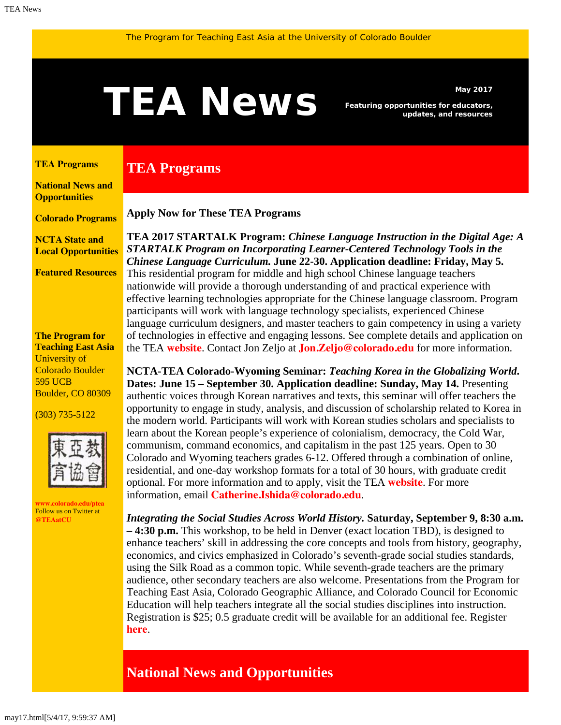# <span id="page-0-1"></span>May 2017<br>**TEAN EWS** Featuring opportunities for educators,<br>updates, and resources

*Featuring opportunities for educators, updates, and resources*

#### <span id="page-0-0"></span>**[TEA Programs](#page-0-0)**

**[National News and](#page-0-1)  [Opportunities](#page-0-1)**

**[Colorado Programs](#page-0-1)**

**[NCTA State and](#page-3-0) [Local Opportunities](#page-3-0)**

**[Featured Resources](#page-3-1)**

#### **The Program for Teaching East Asia** University of Colorado Boulder 595 UCB Boulder, CO 80309

(303) 735-5122



**[www.colorado.edu/ptea](http://www.colorado.edu/cas/tea)** Follow us on Twitter at **[@TEAatCU](https://twitter.com/TEAatCU)**

# **TEA Programs**

**Apply Now for These TEA Programs**

**TEA 2017 STARTALK Program:** *Chinese Language Instruction in the Digital Age: A STARTALK Program on Incorporating Learner-Centered Technology Tools in the Chinese Language Curriculum.* **June 22-30. Application deadline: Friday, May 5.** This residential program for middle and high school Chinese language teachers nationwide will provide a thorough understanding of and practical experience with effective learning technologies appropriate for the Chinese language classroom. Program participants will work with language technology specialists, experienced Chinese language curriculum designers, and master teachers to gain competency in using a variety of technologies in effective and engaging lessons. See complete details and application on the TEA **[website](http://www.colorado.edu/ptea/programs/teaching-east-asia-china/startalk)**. Contact Jon Zeljo at **[Jon.Zeljo@colorado.edu](mailto:Jon.Zeljo@colorado.edu)** for more information.

**NCTA-TEA Colorado-Wyoming Seminar:** *Teaching Korea in the Globalizing World***. Dates: June 15 – September 30. Application deadline: Sunday, May 14.** Presenting authentic voices through Korean narratives and texts, this seminar will offer teachers the opportunity to engage in study, analysis, and discussion of scholarship related to Korea in the modern world. Participants will work with Korean studies scholars and specialists to learn about the Korean people's experience of colonialism, democracy, the Cold War, communism, command economics, and capitalism in the past 125 years. Open to 30 Colorado and Wyoming teachers grades 6-12. Offered through a combination of online, residential, and one-day workshop formats for a total of 30 hours, with graduate credit optional. For more information and to apply, visit the TEA **[website](http://www.colorado.edu/ptea/sites/default/files/attached-files/kf2017semflyer.pdf)**. For more information, email **[Catherine.Ishida@colorado.edu](mailto:Catherine.Ishida@colorado.edu)**.

*Integrating the Social Studies Across World History.* **Saturday, September 9, 8:30 a.m. – 4:30 p.m.** This workshop, to be held in Denver (exact location TBD), is designed to enhance teachers' skill in addressing the core concepts and tools from history, geography, economics, and civics emphasized in Colorado's seventh-grade social studies standards, using the Silk Road as a common topic. While seventh-grade teachers are the primary audience, other secondary teachers are also welcome. Presentations from the Program for Teaching East Asia, Colorado Geographic Alliance, and Colorado Council for Economic Education will help teachers integrate all the social studies disciplines into instruction. Registration is \$25; 0.5 graduate credit will be available for an additional fee. Register **[here](http://www.ccee.net/integrating-social-studies)**.

# **National News and Opportunities**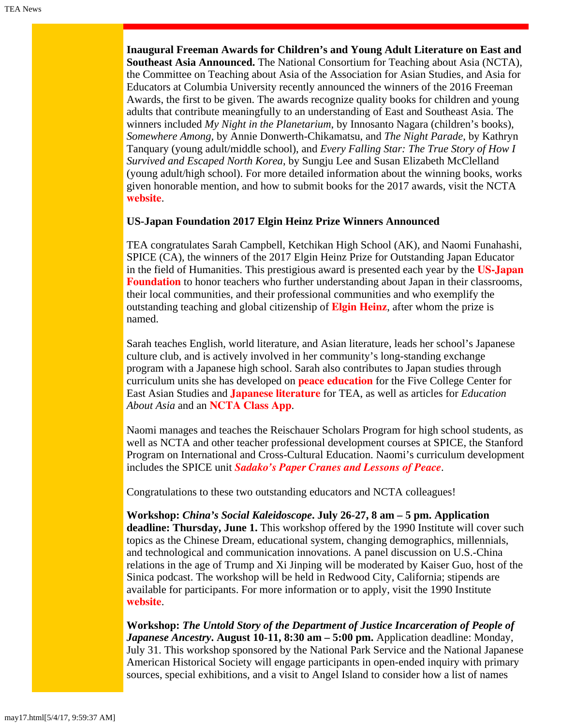**Inaugural Freeman Awards for Children's and Young Adult Literature on East and Southeast Asia Announced.** The National Consortium for Teaching about Asia (NCTA), the Committee on Teaching about Asia of the Association for Asian Studies, and Asia for Educators at Columbia University recently announced the winners of the 2016 Freeman Awards, the first to be given. The awards recognize quality books for children and young adults that contribute meaningfully to an understanding of East and Southeast Asia. The winners included *My Night in the Planetarium*, by Innosanto Nagara (children's books), *Somewhere Among,* by Annie Donwerth-Chikamatsu, and *The Night Parade*, by Kathryn Tanquary (young adult/middle school), and *Every Falling Star: The True Story of How I Survived and Escaped North Korea*, by Sungju Lee and Susan Elizabeth McClelland (young adult/high school). For more detailed information about the winning books, works given honorable mention, and how to submit books for the 2017 awards, visit the NCTA **[website](http://nctasia.org/freeman-book-awards)**.

### **US-Japan Foundation 2017 Elgin Heinz Prize Winners Announced**

TEA congratulates Sarah Campbell, Ketchikan High School (AK), and Naomi Funahashi, SPICE (CA), the winners of the 2017 Elgin Heinz Prize for Outstanding Japan Educator in the field of Humanities. This prestigious award is presented each year by the **[US-Japan](http://us-jf.org/) [Foundation](http://us-jf.org/)** to honor teachers who further understanding about Japan in their classrooms, their local communities, and their professional communities and who exemplify the outstanding teaching and global citizenship of **[Elgin Heinz](http://us-jf.org/programs/elgin-heinz-teacher-awards/)**, after whom the prize is named.

Sarah teaches English, world literature, and Asian literature, leads her school's Japanese culture club, and is actively involved in her community's long-standing exchange program with a Japanese high school. Sarah also contributes to Japan studies through curriculum units she has developed on **[peace education](https://itunes.apple.com/us/book/remembering-hiroshima-nagasaki/id895521720)** for the Five College Center for East Asian Studies and **[Japanese literature](http://www.colorado.edu/cas/tea/becoming-modern/7-literature.html)** for TEA, as well as articles for *Education About Asia* and an **[NCTA Class App](http://nctasia.org/resources/class-apps/)**.

Naomi manages and teaches the Reischauer Scholars Program for high school students, as well as NCTA and other teacher professional development courses at SPICE, the Stanford Program on International and Cross-Cultural Education. Naomi's curriculum development includes the SPICE unit *[Sadako's Paper Cranes and Lessons of Peace](https://spice.fsi.stanford.edu/sites/default/files/catalog/22665/8.5x11_kamishibai_cards.pdf/8.5x11_kamishibai_cards.pdf)*.

Congratulations to these two outstanding educators and NCTA colleagues!

**Workshop:** *China's Social Kaleidoscope***. July 26-27, 8 am – 5 pm. Application deadline: Thursday, June 1.** This workshop offered by the 1990 Institute will cover such topics as the Chinese Dream, educational system, changing demographics, millennials, and technological and communication innovations. A panel discussion on U.S.-China relations in the age of Trump and Xi Jinping will be moderated by Kaiser Guo, host of the Sinica podcast. The workshop will be held in Redwood City, California; stipends are available for participants. For more information or to apply, visit the 1990 Institute **[website](http://teachers.1990institute.org/wp-content/uploads/2017/04/2017_TW_flyer-2017-04-10.pdf)**.

**Workshop:** *The Untold Story of the Department of Justice Incarceration of People of Japanese Ancestry***. August 10-11, 8:30 am – 5:00 pm.** Application deadline: Monday, July 31. This workshop sponsored by the National Park Service and the National Japanese American Historical Society will engage participants in open-ended inquiry with primary sources, special exhibitions, and a visit to Angel Island to consider how a list of names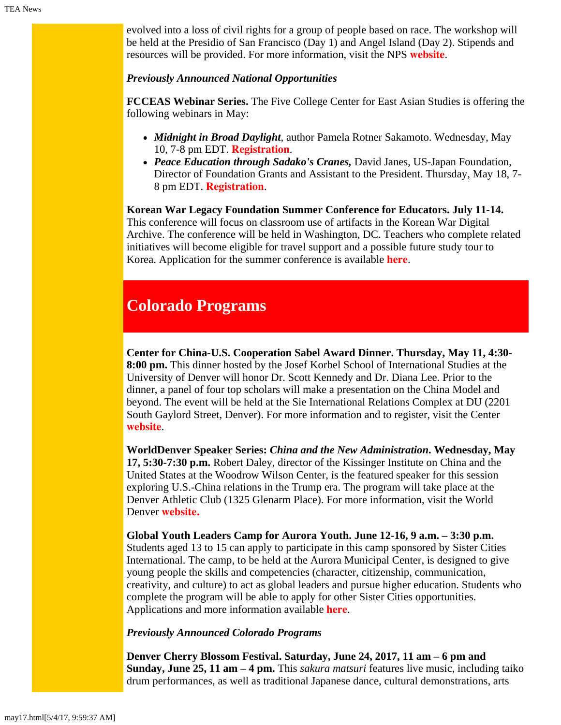evolved into a loss of civil rights for a group of people based on race. The workshop will be held at the Presidio of San Francisco (Day 1) and Angel Island (Day 2). Stipends and resources will be provided. For more information, visit the NPS **[website](https://www.nps.gov/goga/learn/education/index.htm)**.

### *Previously Announced National Opportunities*

**FCCEAS Webinar Series.** The Five College Center for East Asian Studies is offering the following webinars in May:

- *Midnight in Broad Daylight*, author Pamela Rotner Sakamoto. Wednesday, May 10, 7-8 pm EDT. **[Registration](https://attendee.gotowebinar.com/register/921063470282094851)**.
- *Peace Education through Sadako's Cranes,* David Janes, US-Japan Foundation, Director of Foundation Grants and Assistant to the President. Thursday, May 18, 7- 8 pm EDT. **[Registration](https://attendee.gotowebinar.com/register/4314600557210871811)**.

**Korean War Legacy Foundation Summer Conference for Educators. July 11-14.** This conference will focus on classroom use of artifacts in the Korean War Digital Archive. The conference will be held in Washington, DC. Teachers who complete related initiatives will become eligible for travel support and a possible future study tour to Korea. Application for the summer conference is available **[here](https://koreanwardigitalhistoryproject.submittable.com/submit/74807/2017-korean-war-digital-history-project-teacher-conference)**.

# **Colorado Programs**

**Center for China-U.S. Cooperation Sabel Award Dinner. Thursday, May 11, 4:30- 8:00 pm.** This dinner hosted by the Josef Korbel School of International Studies at the University of Denver will honor Dr. Scott Kennedy and Dr. Diana Lee. Prior to the dinner, a panel of four top scholars will make a presentation on the China Model and beyond. The event will be held at the Sie International Relations Complex at DU (2201 South Gaylord Street, Denver). For more information and to register, visit the Center **[website](http://dughost.imodules.com/CCUSC2017)**.

**WorldDenver Speaker Series:** *China and the New Administration***. Wednesday, May 17, 5:30-7:30 p.m.** Robert Daley, director of the Kissinger Institute on China and the United States at the Woodrow Wilson Center, is the featured speaker for this session exploring U.S.-China relations in the Trump era. The program will take place at the Denver Athletic Club (1325 Glenarm Place). For more information, visit the World Denver **[website.](http://www.worlddenver.org/event-2524322)**

**Global Youth Leaders Camp for Aurora Youth. June 12-16, 9 a.m. – 3:30 p.m.** Students aged 13 to 15 can apply to participate in this camp sponsored by Sister Cities International. The camp, to be held at the Aurora Municipal Center, is designed to give young people the skills and competencies (character, citizenship, communication, creativity, and culture) to act as global leaders and pursue higher education. Students who complete the program will be able to apply for other Sister Cities opportunities. Applications and more information available **[here](http://aurorasistercities.org/programs/gyl/)**.

#### *Previously Announced Colorado Programs*

**Denver Cherry Blossom Festival. Saturday, June 24, 2017, 11 am – 6 pm and Sunday, June 25, 11 am – 4 pm.** This *sakura matsuri* features live music, including taiko drum performances, as well as traditional Japanese dance, cultural demonstrations, arts